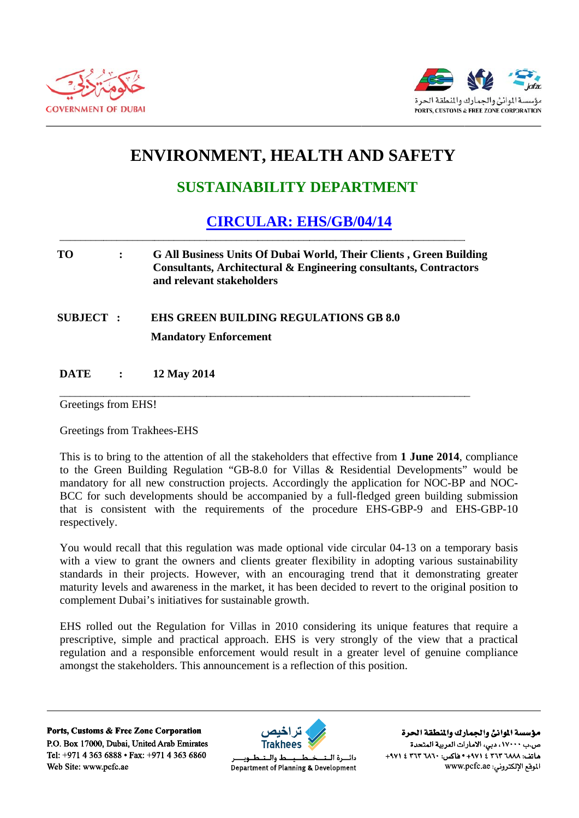



## **ENVIRONMENT, HEALTH AND SAFETY**

## **SUSTAINABILITY DEPARTMENT**

## **CIRCULAR: EHS/GB/04/14**

## **TO**  $\ddot{\cdot}$ **G All Business Units Of Dubai World, Their Clients, Green Building Consultants, Architectural & Engineering consultants, Contractors** and relevant stakeholders

**EHS GREEN BUILDING REGULATIONS GB 8.0 SUBJECT:** 

**Mandatory Enforcement** 

**DATE**  $\ddot{\cdot}$ 12 May 2014

Greetings from EHS!

**Greetings from Trakhees-EHS** 

This is to bring to the attention of all the stakeholders that effective from 1 June 2014, compliance to the Green Building Regulation "GB-8.0 for Villas & Residential Developments" would be mandatory for all new construction projects. Accordingly the application for NOC-BP and NOC-BCC for such developments should be accompanied by a full-fledged green building submission that is consistent with the requirements of the procedure EHS-GBP-9 and EHS-GBP-10 respectively.

You would recall that this regulation was made optional vide circular 04-13 on a temporary basis with a view to grant the owners and clients greater flexibility in adopting various sustainability standards in their projects. However, with an encouraging trend that it demonstrating greater maturity levels and awareness in the market, it has been decided to revert to the original position to complement Dubai's initiatives for sustainable growth.

EHS rolled out the Regulation for Villas in 2010 considering its unique features that require a prescriptive, simple and practical approach. EHS is very strongly of the view that a practical regulation and a responsible enforcement would result in a greater level of genuine compliance amongst the stakeholders. This announcement is a reflection of this position.

Ports, Customs & Free Zone Corporation P.O. Box 17000, Dubai, United Arab Emirates Tel: +971 4 363 6888 • Fax: +971 4 363 6860 Web Site: www.pcfc.ae



ط والــتــ دائسرة البتد Department of Planning & Development

مؤسسة الموانئ والجمارك والنطقة الحرة ص.ب ١٧٠٠٠، دبي، الأمارات العربية المتحدة هاتف: ٢٦٨٨ ٣٦٣ ٢ ٤ ٩٧١ + ١٩٥٠ هاكس: ٢٦٢٠ ٣٦٢ ٤ ٩٧١+ الموقع الإلكتروني: www.pcfc.ae